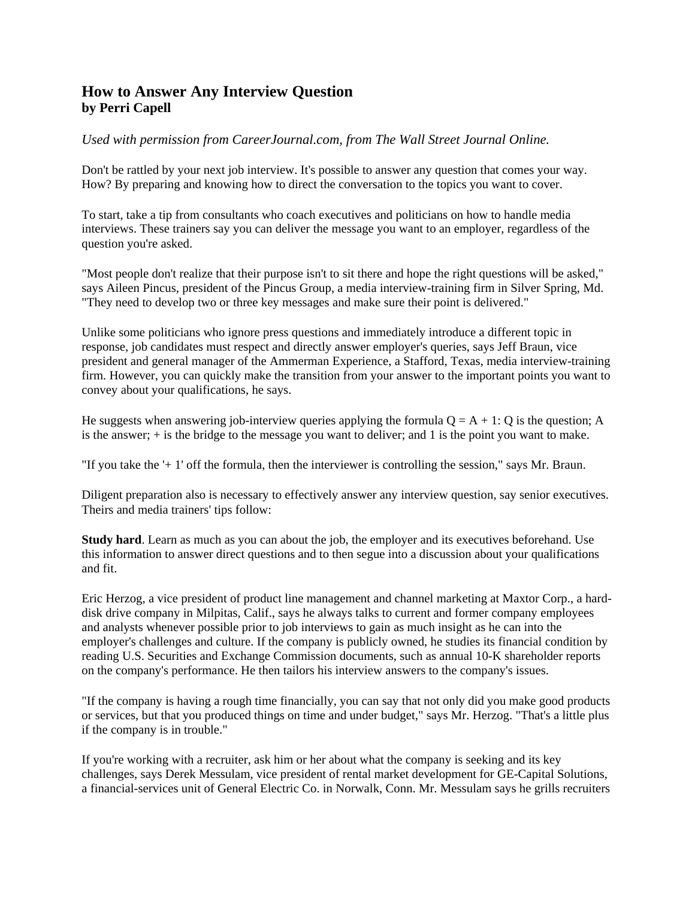## **How to Answer Any Interview Question by Perri Capell**

*Used with permission from CareerJournal.com, from The Wall Street Journal Online.*

Don't be rattled by your next job interview. It's possible to answer any question that comes your way. How? By preparing and knowing how to direct the conversation to the topics you want to cover.

To start, take a tip from consultants who coach executives and politicians on how to handle media interviews. These trainers say you can deliver the message you want to an employer, regardless of the question you're asked.

"Most people don't realize that their purpose isn't to sit there and hope the right questions will be asked," says Aileen Pincus, president of the Pincus Group, a media interview-training firm in Silver Spring, Md. "They need to develop two or three key messages and make sure their point is delivered."

Unlike some politicians who ignore press questions and immediately introduce a different topic in response, job candidates must respect and directly answer employer's queries, says Jeff Braun, vice president and general manager of the Ammerman Experience, a Stafford, Texas, media interview-training firm. However, you can quickly make the transition from your answer to the important points you want to convey about your qualifications, he says.

He suggests when answering job-interview queries applying the formula  $O = A + 1$ : Q is the question; A is the answer; + is the bridge to the message you want to deliver; and 1 is the point you want to make.

"If you take the '+ 1' off the formula, then the interviewer is controlling the session," says Mr. Braun.

Diligent preparation also is necessary to effectively answer any interview question, say senior executives. Theirs and media trainers' tips follow:

**Study hard**. Learn as much as you can about the job, the employer and its executives beforehand. Use this information to answer direct questions and to then segue into a discussion about your qualifications and fit.

Eric Herzog, a vice president of product line management and channel marketing at Maxtor Corp., a harddisk drive company in Milpitas, Calif., says he always talks to current and former company employees and analysts whenever possible prior to job interviews to gain as much insight as he can into the employer's challenges and culture. If the company is publicly owned, he studies its financial condition by reading U.S. Securities and Exchange Commission documents, such as annual 10-K shareholder reports on the company's performance. He then tailors his interview answers to the company's issues.

"If the company is having a rough time financially, you can say that not only did you make good products or services, but that you produced things on time and under budget," says Mr. Herzog. "That's a little plus if the company is in trouble."

If you're working with a recruiter, ask him or her about what the company is seeking and its key challenges, says Derek Messulam, vice president of rental market development for GE-Capital Solutions, a financial-services unit of General Electric Co. in Norwalk, Conn. Mr. Messulam says he grills recruiters